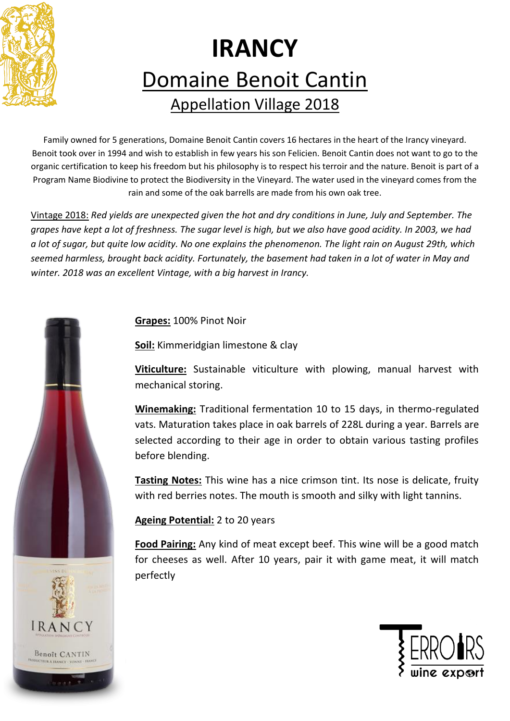

## **IRANCY** Domaine Benoit Cantin Appellation Village 2018

Family owned for 5 generations, Domaine Benoit Cantin covers 16 hectares in the heart of the Irancy vineyard. Benoit took over in 1994 and wish to establish in few years his son Felicien. Benoit Cantin does not want to go to the organic certification to keep his freedom but his philosophy is to respect his terroir and the nature. Benoit is part of a Program Name Biodivine to protect the Biodiversity in the Vineyard. The water used in the vineyard comes from the rain and some of the oak barrells are made from his own oak tree.

Vintage 2018: *Red yields are unexpected given the hot and dry conditions in June, July and September. The grapes have kept a lot of freshness. The sugar level is high, but we also have good acidity. In 2003, we had a lot of sugar, but quite low acidity. No one explains the phenomenon. The light rain on August 29th, which seemed harmless, brought back acidity. Fortunately, the basement had taken in a lot of water in May and winter. 2018 was an excellent Vintage, with a big harvest in Irancy.*

**Grapes:** 100% Pinot Noir

**Soil:** Kimmeridgian limestone & clay

**Viticulture:** Sustainable viticulture with plowing, manual harvest with mechanical storing.

**Winemaking:** Traditional fermentation 10 to 15 days, in thermo-regulated vats. Maturation takes place in oak barrels of 228L during a year. Barrels are selected according to their age in order to obtain various tasting profiles before blending.

**Tasting Notes:** This wine has a nice crimson tint. Its nose is delicate, fruity with red berries notes. The mouth is smooth and silky with light tannins.

**Ageing Potential:** 2 to 20 years

**Food Pairing:** Any kind of meat except beef. This wine will be a good match for cheeses as well. After 10 years, pair it with game meat, it will match perfectly